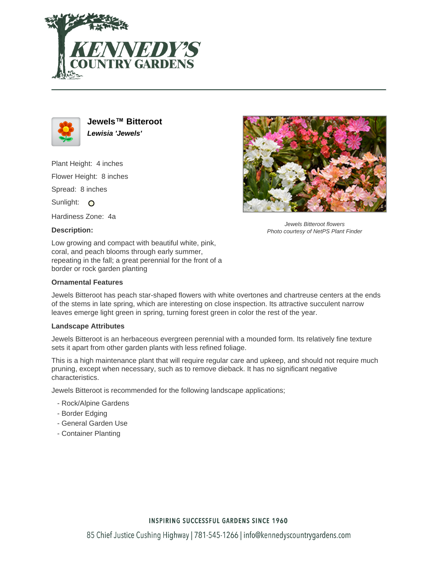



**Jewels™ Bitteroot Lewisia 'Jewels'**

Plant Height: 4 inches Flower Height: 8 inches Spread: 8 inches Sunlight: O

Hardiness Zone: 4a

# **Description:**

Low growing and compact with beautiful white, pink, coral, and peach blooms through early summer, repeating in the fall; a great perennial for the front of a border or rock garden planting

### **Ornamental Features**

Jewels Bitteroot has peach star-shaped flowers with white overtones and chartreuse centers at the ends of the stems in late spring, which are interesting on close inspection. Its attractive succulent narrow leaves emerge light green in spring, turning forest green in color the rest of the year.

#### **Landscape Attributes**

Jewels Bitteroot is an herbaceous evergreen perennial with a mounded form. Its relatively fine texture sets it apart from other garden plants with less refined foliage.

This is a high maintenance plant that will require regular care and upkeep, and should not require much pruning, except when necessary, such as to remove dieback. It has no significant negative characteristics.

Jewels Bitteroot is recommended for the following landscape applications;

- Rock/Alpine Gardens
- Border Edging
- General Garden Use
- Container Planting



Jewels Bitteroot flowers Photo courtesy of NetPS Plant Finder

## **INSPIRING SUCCESSFUL GARDENS SINCE 1960**